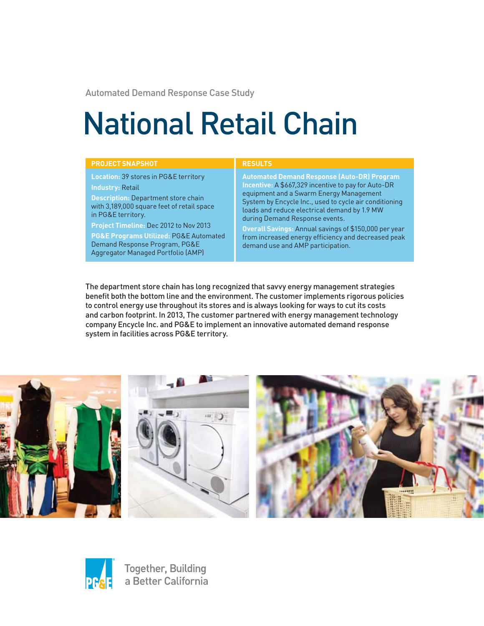Automated Demand Response Case Study

# National Retail Chain

| <b>PROJECT SNAPSHOT</b>                               | <b>RESULTS</b>                                         |
|-------------------------------------------------------|--------------------------------------------------------|
| <b>Location: 39 stores in PG&amp;E territory</b>      | <b>Automated Demand Response (Auto-DR) Program</b>     |
| <b>Industry: Retail</b>                               | Incentive: A \$667,329 incentive to pay for Auto-DR    |
| <b>Description: Department store chain</b>            | equipment and a Swarm Energy Management                |
| with 3,189,000 square feet of retail space            | System by Encycle Inc., used to cycle air conditioning |
| in PG&E territory.                                    | loads and reduce electrical demand by 1.9 MW           |
| Project Timeline: Dec 2012 to Nov 2013                | during Demand Response events.                         |
| <b>PG&amp;E Programs Utilized: PG&amp;E Automated</b> | Overall Savings: Annual savings of \$150,000 per year  |
| Demand Response Program, PG&E                         | from increased energy efficiency and decreased peak    |
| Aggregator Managed Portfolio (AMP)                    | demand use and AMP participation.                      |

The department store chain has long recognized that savvy energy management strategies benefit both the bottom line and the environment. The customer implements rigorous policies to control energy use throughout its stores and is always looking for ways to cut its costs and carbon footprint. In 2013, The customer partnered with energy management technology company Encycle Inc. and PG&E to implement an innovative automated demand response system in facilities across PG&E territory.





Together, Building a Better California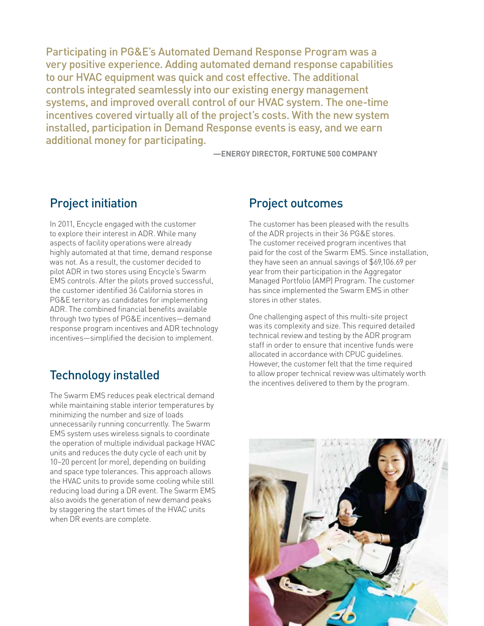Participating in PG&E's Automated Demand Response Program was a very positive experience. Adding automated demand response capabilities to our HVAC equipment was quick and cost effective. The additional controls integrated seamlessly into our existing energy management systems, and improved overall control of our HVAC system. The one-time incentives covered virtually all of the project's costs. With the new system installed, participation in Demand Response events is easy, and we earn additional money for participating.

**—ENERGY DIRECTOR, FORTUNE 500 COMPANY**

## Project initiation

In 2011, Encycle engaged with the customer to explore their interest in ADR. While many aspects of facility operations were already highly automated at that time, demand response was not. As a result, the customer decided to pilot ADR in two stores using Encycle's Swarm EMS controls. After the pilots proved successful, the customer identified 36 California stores in PG&E territory as candidates for implementing ADR. The combined financial benefits available through two types of PG&E incentives—demand response program incentives and ADR technology incentives—simplified the decision to implement.

## Technology installed

The Swarm EMS reduces peak electrical demand while maintaining stable interior temperatures by minimizing the number and size of loads unnecessarily running concurrently. The Swarm EMS system uses wireless signals to coordinate the operation of multiple individual package HVAC units and reduces the duty cycle of each unit by 10–20 percent (or more), depending on building and space type tolerances. This approach allows the HVAC units to provide some cooling while still reducing load during a DR event. The Swarm EMS also avoids the generation of new demand peaks by staggering the start times of the HVAC units when DR events are complete.

### Project outcomes

The customer has been pleased with the results of the ADR projects in their 36 PG&E stores. The customer received program incentives that paid for the cost of the Swarm EMS. Since installation, they have seen an annual savings of \$69,106.69 per year from their participation in the Aggregator Managed Portfolio (AMP) Program. The customer has since implemented the Swarm EMS in other stores in other states.

One challenging aspect of this multi-site project was its complexity and size. This required detailed technical review and testing by the ADR program staff in order to ensure that incentive funds were allocated in accordance with CPUC guidelines. However, the customer felt that the time required to allow proper technical review was ultimately worth the incentives delivered to them by the program.

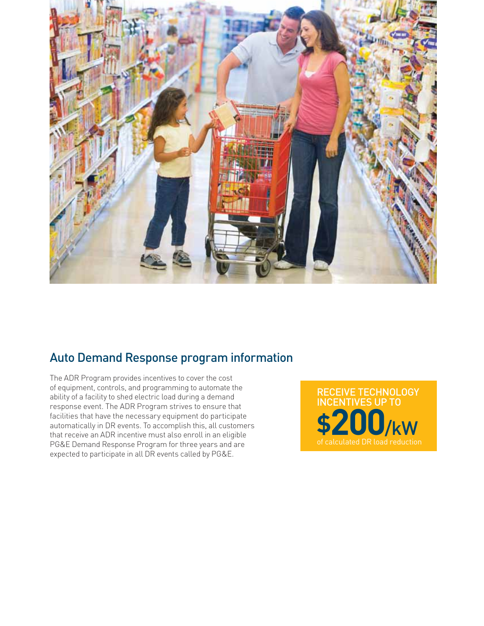

## Auto Demand Response program information

The ADR Program provides incentives to cover the cost of equipment, controls, and programming to automate the ability of a facility to shed electric load during a demand response event. The ADR Program strives to ensure that facilities that have the necessary equipment do participate automatically in DR events. To accomplish this, all customers that receive an ADR incentive must also enroll in an eligible PG&E Demand Response Program for three years and are expected to participate in all DR events called by PG&E.